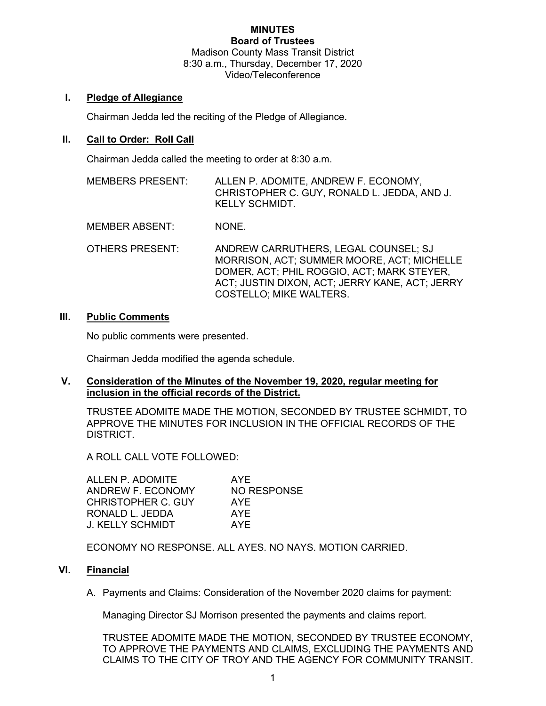#### **MINUTES Board of Trustees**

Madison County Mass Transit District 8:30 a.m., Thursday, December 17, 2020 Video/Teleconference

# **I. Pledge of Allegiance**

Chairman Jedda led the reciting of the Pledge of Allegiance.

# **II. Call to Order: Roll Call**

Chairman Jedda called the meeting to order at 8:30 a.m.

- MEMBERS PRESENT: ALLEN P. ADOMITE, ANDREW F. ECONOMY, CHRISTOPHER C. GUY, RONALD L. JEDDA, AND J. KELLY SCHMIDT.
- MEMBER ABSENT: NONE.
- OTHERS PRESENT: ANDREW CARRUTHERS, LEGAL COUNSEL; SJ MORRISON, ACT; SUMMER MOORE, ACT; MICHELLE DOMER, ACT; PHIL ROGGIO, ACT; MARK STEYER, ACT; JUSTIN DIXON, ACT; JERRY KANE, ACT; JERRY COSTELLO; MIKE WALTERS.

# **III. Public Comments**

No public comments were presented.

Chairman Jedda modified the agenda schedule.

### **V. Consideration of the Minutes of the November 19, 2020, regular meeting for inclusion in the official records of the District.**

TRUSTEE ADOMITE MADE THE MOTION, SECONDED BY TRUSTEE SCHMIDT, TO APPROVE THE MINUTES FOR INCLUSION IN THE OFFICIAL RECORDS OF THE DISTRICT.

A ROLL CALL VOTE FOLLOWED:

| ALLEN P. ADOMITE   | AYF         |
|--------------------|-------------|
| ANDREW F. ECONOMY  | NO RESPONSE |
| CHRISTOPHER C. GUY | AYF         |
| RONALD L. JEDDA    | AYF         |
| J. KELLY SCHMIDT   | AYF         |

ECONOMY NO RESPONSE. ALL AYES. NO NAYS. MOTION CARRIED.

# **VI. Financial**

A. Payments and Claims: Consideration of the November 2020 claims for payment:

Managing Director SJ Morrison presented the payments and claims report.

TRUSTEE ADOMITE MADE THE MOTION, SECONDED BY TRUSTEE ECONOMY, TO APPROVE THE PAYMENTS AND CLAIMS, EXCLUDING THE PAYMENTS AND CLAIMS TO THE CITY OF TROY AND THE AGENCY FOR COMMUNITY TRANSIT.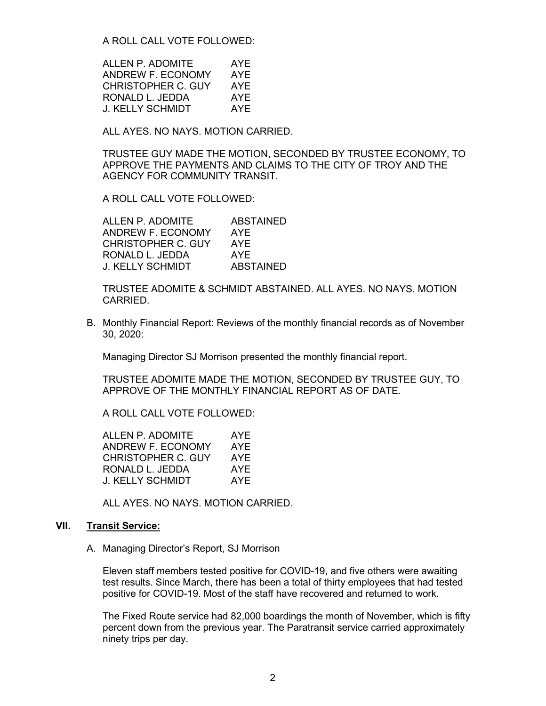A ROLL CALL VOTE FOLLOWED:

| ALLEN P. ADOMITE   | AYE |
|--------------------|-----|
| ANDREW F. ECONOMY  | AYF |
| CHRISTOPHER C. GUY | AYE |
| RONALD L. JEDDA    | AYE |
| J. KELLY SCHMIDT   | AYF |

ALL AYES. NO NAYS. MOTION CARRIED.

TRUSTEE GUY MADE THE MOTION, SECONDED BY TRUSTEE ECONOMY, TO APPROVE THE PAYMENTS AND CLAIMS TO THE CITY OF TROY AND THE AGENCY FOR COMMUNITY TRANSIT.

A ROLL CALL VOTE FOLLOWED:

| ALLEN P. ADOMITE   | <b>ABSTAINED</b> |
|--------------------|------------------|
| ANDREW F. ECONOMY  | AYE              |
| CHRISTOPHER C. GUY | AYF              |
| RONALD L. JEDDA    | AYF              |
| J. KELLY SCHMIDT   | <b>ABSTAINED</b> |

TRUSTEE ADOMITE & SCHMIDT ABSTAINED. ALL AYES. NO NAYS. MOTION CARRIED.

B. Monthly Financial Report: Reviews of the monthly financial records as of November 30, 2020:

Managing Director SJ Morrison presented the monthly financial report.

TRUSTEE ADOMITE MADE THE MOTION, SECONDED BY TRUSTEE GUY, TO APPROVE OF THE MONTHLY FINANCIAL REPORT AS OF DATE.

A ROLL CALL VOTE FOLLOWED:

| ALLEN P. ADOMITE   | AYF |
|--------------------|-----|
| ANDREW F. ECONOMY  | AYF |
| CHRISTOPHER C. GUY | AYE |
| RONALD L. JEDDA    | AYF |
| J. KELLY SCHMIDT   | AYF |
|                    |     |

ALL AYES. NO NAYS. MOTION CARRIED.

### **VII. Transit Service:**

A. Managing Director's Report, SJ Morrison

Eleven staff members tested positive for COVID-19, and five others were awaiting test results. Since March, there has been a total of thirty employees that had tested positive for COVID-19. Most of the staff have recovered and returned to work.

The Fixed Route service had 82,000 boardings the month of November, which is fifty percent down from the previous year. The Paratransit service carried approximately ninety trips per day.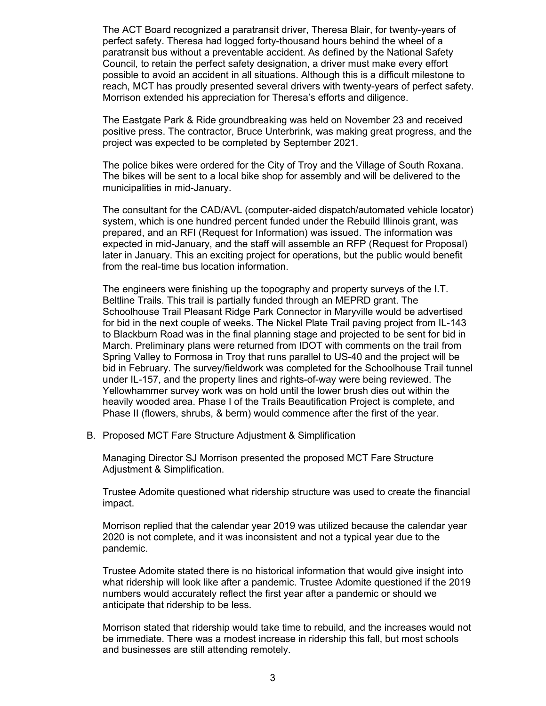The ACT Board recognized a paratransit driver, Theresa Blair, for twenty-years of perfect safety. Theresa had logged forty-thousand hours behind the wheel of a paratransit bus without a preventable accident. As defined by the National Safety Council, to retain the perfect safety designation, a driver must make every effort possible to avoid an accident in all situations. Although this is a difficult milestone to reach, MCT has proudly presented several drivers with twenty-years of perfect safety. Morrison extended his appreciation for Theresa's efforts and diligence.

The Eastgate Park & Ride groundbreaking was held on November 23 and received positive press. The contractor, Bruce Unterbrink, was making great progress, and the project was expected to be completed by September 2021.

The police bikes were ordered for the City of Troy and the Village of South Roxana. The bikes will be sent to a local bike shop for assembly and will be delivered to the municipalities in mid-January.

The consultant for the CAD/AVL (computer-aided dispatch/automated vehicle locator) system, which is one hundred percent funded under the Rebuild Illinois grant, was prepared, and an RFI (Request for Information) was issued. The information was expected in mid-January, and the staff will assemble an RFP (Request for Proposal) later in January. This an exciting project for operations, but the public would benefit from the real-time bus location information.

The engineers were finishing up the topography and property surveys of the I.T. Beltline Trails. This trail is partially funded through an MEPRD grant. The Schoolhouse Trail Pleasant Ridge Park Connector in Maryville would be advertised for bid in the next couple of weeks. The Nickel Plate Trail paving project from IL-143 to Blackburn Road was in the final planning stage and projected to be sent for bid in March. Preliminary plans were returned from IDOT with comments on the trail from Spring Valley to Formosa in Troy that runs parallel to US-40 and the project will be bid in February. The survey/fieldwork was completed for the Schoolhouse Trail tunnel under IL-157, and the property lines and rights-of-way were being reviewed. The Yellowhammer survey work was on hold until the lower brush dies out within the heavily wooded area. Phase I of the Trails Beautification Project is complete, and Phase II (flowers, shrubs, & berm) would commence after the first of the year.

B. Proposed MCT Fare Structure Adjustment & Simplification

Managing Director SJ Morrison presented the proposed MCT Fare Structure Adjustment & Simplification.

Trustee Adomite questioned what ridership structure was used to create the financial impact.

Morrison replied that the calendar year 2019 was utilized because the calendar year 2020 is not complete, and it was inconsistent and not a typical year due to the pandemic.

Trustee Adomite stated there is no historical information that would give insight into what ridership will look like after a pandemic. Trustee Adomite questioned if the 2019 numbers would accurately reflect the first year after a pandemic or should we anticipate that ridership to be less.

Morrison stated that ridership would take time to rebuild, and the increases would not be immediate. There was a modest increase in ridership this fall, but most schools and businesses are still attending remotely.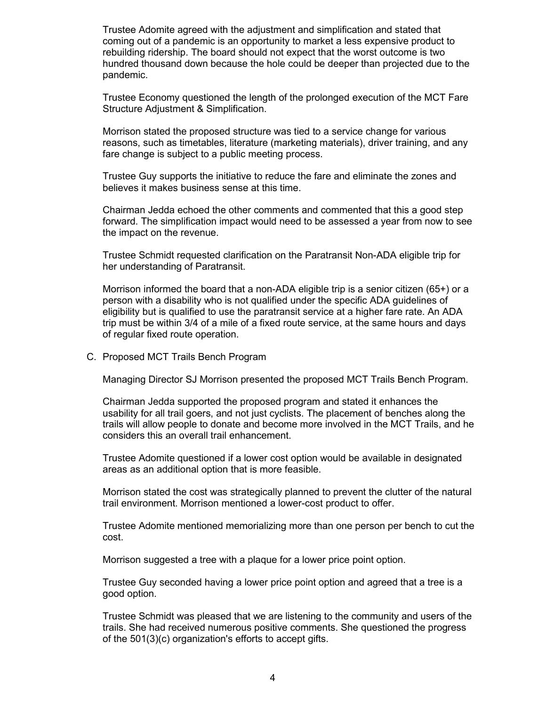Trustee Adomite agreed with the adjustment and simplification and stated that coming out of a pandemic is an opportunity to market a less expensive product to rebuilding ridership. The board should not expect that the worst outcome is two hundred thousand down because the hole could be deeper than projected due to the pandemic.

Trustee Economy questioned the length of the prolonged execution of the MCT Fare Structure Adjustment & Simplification.

Morrison stated the proposed structure was tied to a service change for various reasons, such as timetables, literature (marketing materials), driver training, and any fare change is subject to a public meeting process.

Trustee Guy supports the initiative to reduce the fare and eliminate the zones and believes it makes business sense at this time.

Chairman Jedda echoed the other comments and commented that this a good step forward. The simplification impact would need to be assessed a year from now to see the impact on the revenue.

Trustee Schmidt requested clarification on the Paratransit Non-ADA eligible trip for her understanding of Paratransit.

Morrison informed the board that a non-ADA eligible trip is a senior citizen (65+) or a person with a disability who is not qualified under the specific ADA guidelines of eligibility but is qualified to use the paratransit service at a higher fare rate. An ADA trip must be within 3/4 of a mile of a fixed route service, at the same hours and days of regular fixed route operation.

C. Proposed MCT Trails Bench Program

Managing Director SJ Morrison presented the proposed MCT Trails Bench Program.

Chairman Jedda supported the proposed program and stated it enhances the usability for all trail goers, and not just cyclists. The placement of benches along the trails will allow people to donate and become more involved in the MCT Trails, and he considers this an overall trail enhancement.

Trustee Adomite questioned if a lower cost option would be available in designated areas as an additional option that is more feasible.

Morrison stated the cost was strategically planned to prevent the clutter of the natural trail environment. Morrison mentioned a lower-cost product to offer.

Trustee Adomite mentioned memorializing more than one person per bench to cut the cost.

Morrison suggested a tree with a plaque for a lower price point option.

Trustee Guy seconded having a lower price point option and agreed that a tree is a good option.

Trustee Schmidt was pleased that we are listening to the community and users of the trails. She had received numerous positive comments. She questioned the progress of the 501(3)(c) organization's efforts to accept gifts.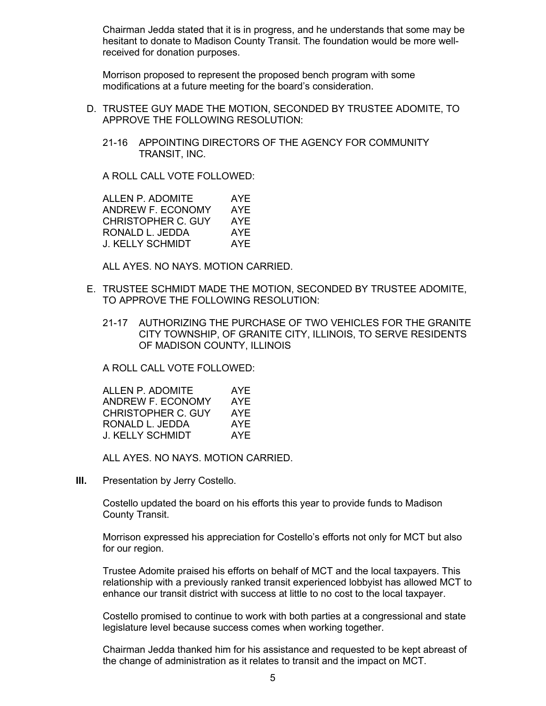Chairman Jedda stated that it is in progress, and he understands that some may be hesitant to donate to Madison County Transit. The foundation would be more wellreceived for donation purposes.

Morrison proposed to represent the proposed bench program with some modifications at a future meeting for the board's consideration.

- D. TRUSTEE GUY MADE THE MOTION, SECONDED BY TRUSTEE ADOMITE, TO APPROVE THE FOLLOWING RESOLUTION:
	- 21-16 APPOINTING DIRECTORS OF THE AGENCY FOR COMMUNITY TRANSIT, INC.

A ROLL CALL VOTE FOLLOWED:

ALLEN P. ADOMITE AYE ANDREW F. ECONOMY AYE<br>CHRISTOPHER C. GUY AYE CHRISTOPHER C. GUY RONALD L. JEDDA AYE J. KELLY SCHMIDT AYE

ALL AYES. NO NAYS. MOTION CARRIED.

- E. TRUSTEE SCHMIDT MADE THE MOTION, SECONDED BY TRUSTEE ADOMITE, TO APPROVE THE FOLLOWING RESOLUTION:
	- 21-17 AUTHORIZING THE PURCHASE OF TWO VEHICLES FOR THE GRANITE CITY TOWNSHIP, OF GRANITE CITY, ILLINOIS, TO SERVE RESIDENTS OF MADISON COUNTY, ILLINOIS

A ROLL CALL VOTE FOLLOWED:

| ALLEN P. ADOMITE   | AYE |
|--------------------|-----|
| ANDREW F. ECONOMY  | AYE |
| CHRISTOPHER C. GUY | AYE |
| RONALD L. JEDDA    | AYE |
| J. KELLY SCHMIDT   | AYF |

ALL AYES. NO NAYS. MOTION CARRIED.

**III.** Presentation by Jerry Costello.

Costello updated the board on his efforts this year to provide funds to Madison County Transit.

Morrison expressed his appreciation for Costello's efforts not only for MCT but also for our region.

Trustee Adomite praised his efforts on behalf of MCT and the local taxpayers. This relationship with a previously ranked transit experienced lobbyist has allowed MCT to enhance our transit district with success at little to no cost to the local taxpayer.

Costello promised to continue to work with both parties at a congressional and state legislature level because success comes when working together.

Chairman Jedda thanked him for his assistance and requested to be kept abreast of the change of administration as it relates to transit and the impact on MCT.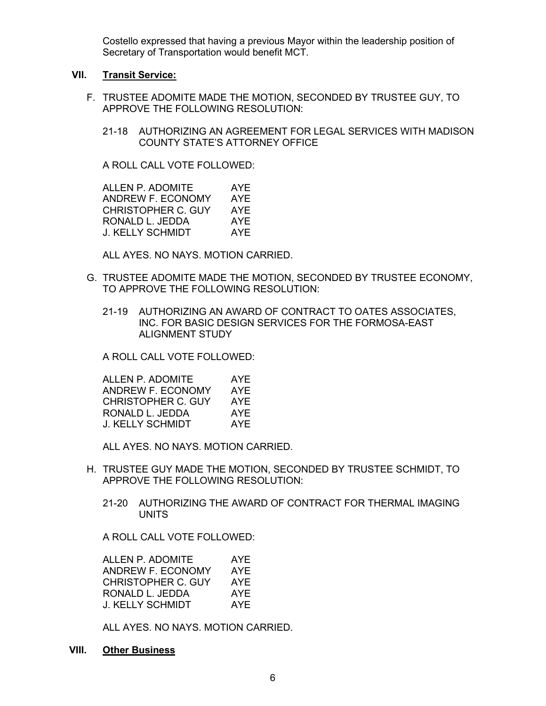Costello expressed that having a previous Mayor within the leadership position of Secretary of Transportation would benefit MCT.

#### **VII. Transit Service:**

- F. TRUSTEE ADOMITE MADE THE MOTION, SECONDED BY TRUSTEE GUY, TO APPROVE THE FOLLOWING RESOLUTION:
	- 21-18 AUTHORIZING AN AGREEMENT FOR LEGAL SERVICES WITH MADISON COUNTY STATE'S ATTORNEY OFFICE

A ROLL CALL VOTE FOLLOWED:

ALLEN P. ADOMITE AYE ANDREW F. ECONOMY AYE CHRISTOPHER C. GUY AYE<br>RONALD L. JEDDA AYE RONALD L. JEDDA J. KELLY SCHMIDT AYE

ALL AYES. NO NAYS. MOTION CARRIED.

- G. TRUSTEE ADOMITE MADE THE MOTION, SECONDED BY TRUSTEE ECONOMY, TO APPROVE THE FOLLOWING RESOLUTION:
	- 21-19 AUTHORIZING AN AWARD OF CONTRACT TO OATES ASSOCIATES, INC. FOR BASIC DESIGN SERVICES FOR THE FORMOSA-EAST ALIGNMENT STUDY

A ROLL CALL VOTE FOLLOWED:

| ALLEN P. ADOMITE   | AYF  |
|--------------------|------|
| ANDREW F. ECONOMY  | AYE  |
| CHRISTOPHER C. GUY | AYF  |
| RONALD L. JEDDA    | AYE  |
| J. KELLY SCHMIDT   | AYE. |

ALL AYES. NO NAYS. MOTION CARRIED.

- H. TRUSTEE GUY MADE THE MOTION, SECONDED BY TRUSTEE SCHMIDT, TO APPROVE THE FOLLOWING RESOLUTION:
	- 21-20 AUTHORIZING THE AWARD OF CONTRACT FOR THERMAL IMAGING **UNITS**

A ROLL CALL VOTE FOLLOWED:

| ALLEN P. ADOMITE   | AYE |
|--------------------|-----|
| ANDREW F. ECONOMY  | AYE |
| CHRISTOPHER C. GUY | AYE |
| RONALD L. JEDDA    | AYE |
| J. KELLY SCHMIDT   | AYF |

ALL AYES. NO NAYS. MOTION CARRIED.

**VIII. Other Business**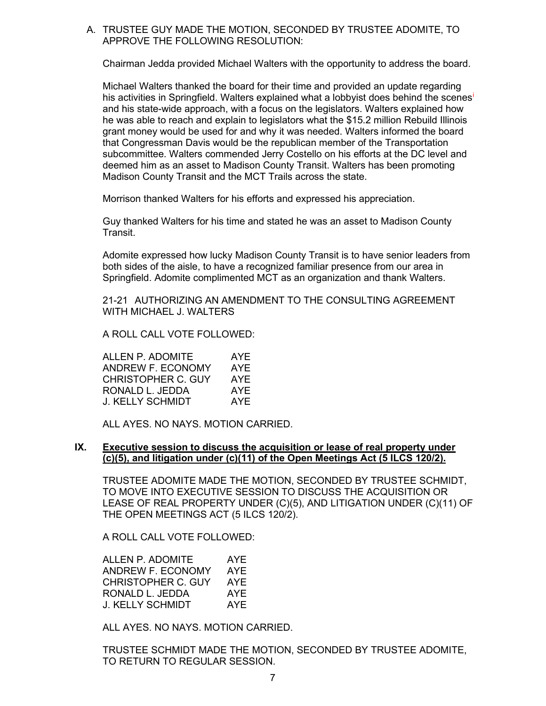# A. TRUSTEE GUY MADE THE MOTION, SECONDED BY TRUSTEE ADOMITE, TO APPROVE THE FOLLOWING RESOLUTION:

Chairman Jedda provided Michael Walters with the opportunity to address the board.

Michael Walters thanked the board for their time and provided an update regarding h[i](#page-7-0)s activities in Springfield. Walters explained what a lobbyist does behind the scenes<sup>i</sup> and his state-wide approach, with a focus on the legislators. Walters explained how he was able to reach and explain to legislators what the \$15.2 million Rebuild Illinois grant money would be used for and why it was needed. Walters informed the board that Congressman Davis would be the republican member of the Transportation subcommittee. Walters commended Jerry Costello on his efforts at the DC level and deemed him as an asset to Madison County Transit. Walters has been promoting Madison County Transit and the MCT Trails across the state.

Morrison thanked Walters for his efforts and expressed his appreciation.

Guy thanked Walters for his time and stated he was an asset to Madison County Transit.

Adomite expressed how lucky Madison County Transit is to have senior leaders from both sides of the aisle, to have a recognized familiar presence from our area in Springfield. Adomite complimented MCT as an organization and thank Walters.

21-21 AUTHORIZING AN AMENDMENT TO THE CONSULTING AGREEMENT WITH MICHAFL J. WAI TERS

A ROLL CALL VOTE FOLLOWED:

| ALLEN P. ADOMITE   | AYE |
|--------------------|-----|
| ANDREW F. ECONOMY  | AYE |
| CHRISTOPHER C. GUY | AYF |
| RONALD L. JEDDA    | AYF |
| J. KELLY SCHMIDT   | AYF |

ALL AYES. NO NAYS. MOTION CARRIED.

### **IX. Executive session to discuss the acquisition or lease of real property under (c)(5), and litigation under (c)(11) of the Open Meetings Act (5 ILCS 120/2).**

TRUSTEE ADOMITE MADE THE MOTION, SECONDED BY TRUSTEE SCHMIDT, TO MOVE INTO EXECUTIVE SESSION TO DISCUSS THE ACQUISITION OR LEASE OF REAL PROPERTY UNDER (C)(5), AND LITIGATION UNDER (C)(11) OF THE OPEN MEETINGS ACT (5 ILCS 120/2).

A ROLL CALL VOTE FOLLOWED:

| ALLEN P. ADOMITE   | AYE |
|--------------------|-----|
| ANDREW F. ECONOMY  | AYE |
| CHRISTOPHER C. GUY | AYE |
| RONALD L. JEDDA    | AYE |
| J. KELLY SCHMIDT   | AYF |

ALL AYES. NO NAYS. MOTION CARRIED.

TRUSTEE SCHMIDT MADE THE MOTION, SECONDED BY TRUSTEE ADOMITE, TO RETURN TO REGULAR SESSION.